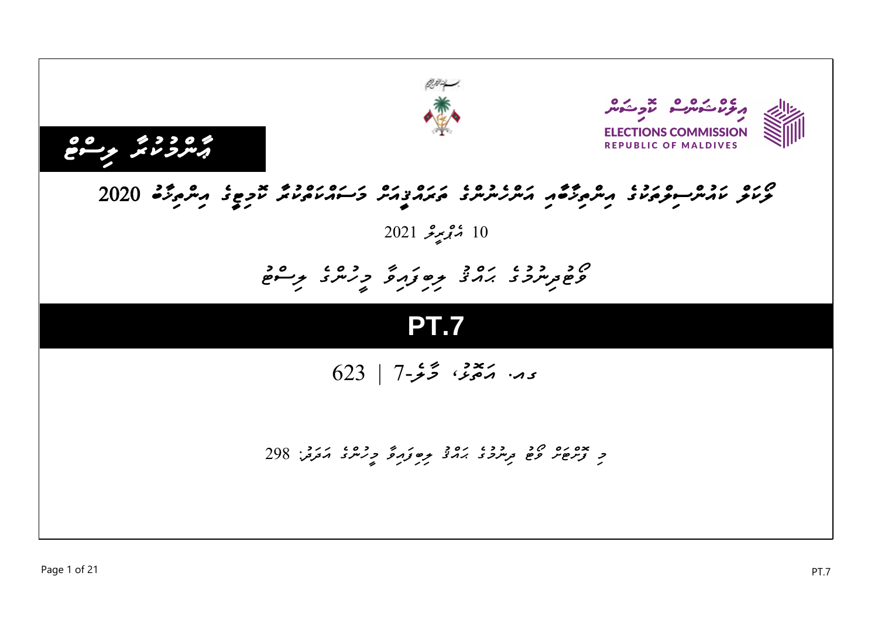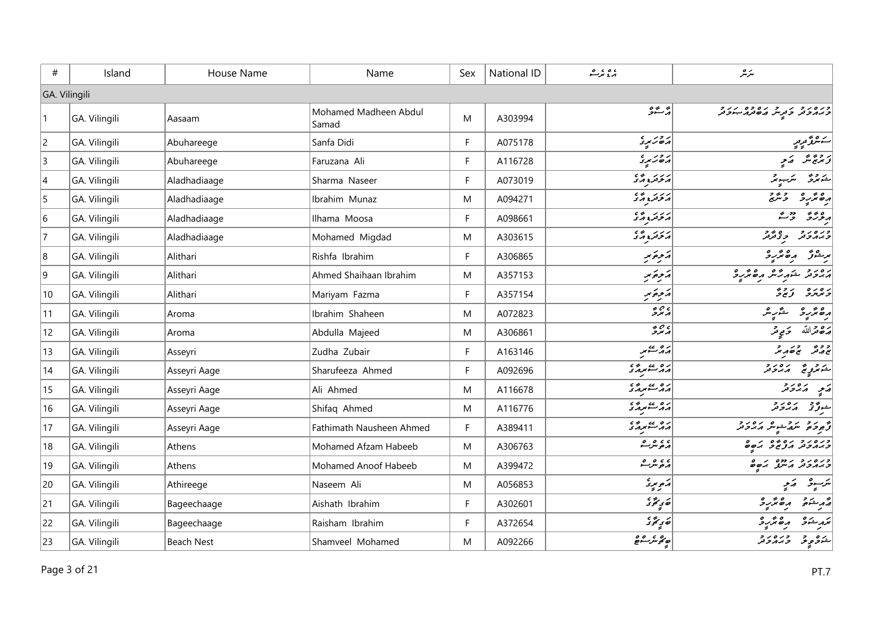| $^{\#}$       | Island        | House Name        | Name                           | Sex       | National ID | ، ه ، ره<br>مر، مر          | يترمثر                                              |
|---------------|---------------|-------------------|--------------------------------|-----------|-------------|-----------------------------|-----------------------------------------------------|
| GA. Vilingili |               |                   |                                |           |             |                             |                                                     |
|               | GA. Vilingili | Aasaam            | Mohamed Madheen Abdul<br>Samad | ${\sf M}$ | A303994     | ېژ شرچ                      | כנסנכ נגב בנספס נגב<br>כגונכת כתיית השתוני-יכת      |
| 2             | GA. Vilingili | Abuhareege        | Sanfa Didi                     | F         | A075178     | ر حەرىبە ئىچ                | سەھۇمدىد                                            |
| 3             | GA. Vilingili | Abuhareege        | Faruzana Ali                   | F         | A116728     | ر در<br>مەرىپرى             | ز دیگر میو                                          |
| 4             | GA. Vilingili | Aladhadiaage      | Sharma Naseer                  | F         | A073019     | ېر ئوتىز بەر ئە             | لفكرومج الكرسومر                                    |
| 5             | GA. Vilingili | Aladhadiaage      | Ibrahim Munaz                  | M         | A094271     | بر ئەتىر ب <sup>ە ي</sup>   | ە ھەترىرى<br>بر ھەترىرى<br>و بو و<br>تر س           |
| 6             | GA. Vilingili | Aladhadiaage      | Ilhama Moosa                   | F         | A098661     | ېر د تر د ځ                 | بروژڈ<br>دو مح                                      |
| 7             | GA. Vilingili | Aladhadiaage      | Mohamed Migdad                 | M         | A303615     | بربر ويمي                   | ورەرو دەپور<br><mark>جەم</mark> ەدىر <i>جى</i> ترىر |
| $\bf 8$       | GA. Vilingili | Alithari          | Rishfa Ibrahim                 | F         | A306865     | وكمعرضو                     | برشوش وەھمىرو                                       |
| 9             | GA. Vilingili | Alithari          | Ahmed Shaihaan Ibrahim         | ${\sf M}$ | A357153     | وكمعرضو                     | גפגב בתליל תסתקיב                                   |
| $10$          | GA. Vilingili | Alithari          | Mariyam Fazma                  | F         | A357154     | وكمعرض مبر                  | נסנס נבר                                            |
| 11            | GA. Vilingili | Aroma             | Ibrahim Shaheen                | M         | A072823     | ی می بر<br>پر بور           | رەنزىر ئىياش                                        |
| 12            | GA. Vilingili | Aroma             | Abdulla Majeed                 | M         | A306861     | ې چې په<br>مرمون            | أرة فرالله كامج مر                                  |
| 13            | GA. Vilingili | Asseyri           | Zudha Zubair                   | F         | A163146     | ارده میمر                   | CCC SOLL                                            |
| 14            | GA. Vilingili | Asseyri Aage      | Sharufeeza Ahmed               | F         | A092696     | بره عديد پر<br>مرکز شوپر پر | أشركرونج أربرونر                                    |
| 15            | GA. Vilingili | Asseyri Aage      | Ali Ahmed                      | M         | A116678     | رە » دەر                    | أتمنح أترومو                                        |
| 16            | GA. Vilingili | Asseyri Aage      | Shifaq Ahmed                   | M         | A116776     | بره عوير پر<br>مرکز شوهر پر | شورٌ تخ كەرگەر قر                                   |
| 17            | GA. Vilingili | Asseyri Aage      | Fathimath Nausheen Ahmed       | F         | A389411     | بره عوير پر<br>مرکز شوپر پر | و گروه میگر شونگر میگردند                           |
| 18            | GA. Vilingili | Athens            | Mohamed Afzam Habeeb           | ${\sf M}$ | A306763     | <sup>ى يە</sup> ھەر ھ       |                                                     |
| 19            | GA. Vilingili | Athens            | Mohamed Anoof Habeeb           | ${\sf M}$ | A399472     | <sup>ى يە</sup> ھەر ھ       |                                                     |
| 20            | GA. Vilingili | Athireege         | Naseem Ali                     | M         | A056853     | <br>  در موسور              | لترسوق أرتمي                                        |
| 21            | GA. Vilingili | Bageechaage       | Aishath Ibrahim                | F         | A302601     | <br> حو په دی               | ەرھەترىر <sup>9</sup><br>و مر د شو د<br>مر          |
| 22            | GA. Vilingili | Bageechaage       | Raisham Ibrahim                | F         | A372654     | <br>  ته په نوی             | دە ئەرد<br>ىمەيدىمى                                 |
| 23            | GA. Vilingili | <b>Beach Nest</b> | Shamveel Mohamed               | ${\sf M}$ | A092266     | پەن <sub>ە</sub> بىر مەھ    | أشور وبرەر و                                        |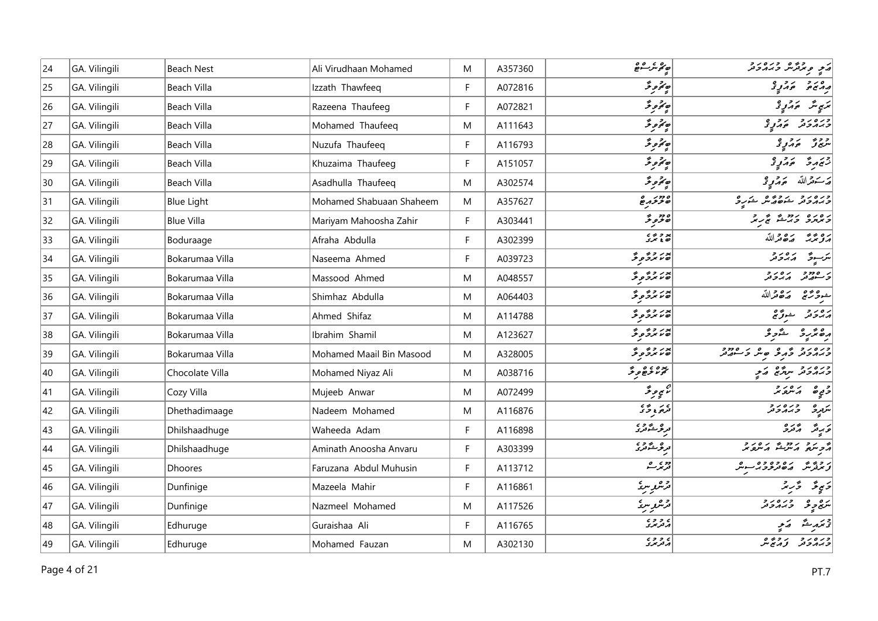| 24 | GA. Vilingili | <b>Beach Nest</b>  | Ali Virudhaan Mohamed    | M  | A357360 | پەن <sub>ە ئىر</sub> مۇ                            | أأور ويحدثه وبرورد                                    |
|----|---------------|--------------------|--------------------------|----|---------|----------------------------------------------------|-------------------------------------------------------|
| 25 | GA. Vilingili | <b>Beach Villa</b> | Izzath Thawfeeq          | F. | A072816 | په پخوبه څه                                        |                                                       |
| 26 | GA. Vilingili | <b>Beach Villa</b> | Razeena Thaufeeg         | F. | A072821 | په پخومونځه                                        | ر كىلىپىتىش تۈرگۈرى<br>تېرىپ كىشى تۈرگۈرى             |
| 27 | GA. Vilingili | Beach Villa        | Mohamed Thaufeeg         | M  | A111643 | ھەتمۇھ <sub>ە</sub> مۇ<br>ئ <sup>ە</sup>           | وره دو دو و                                           |
| 28 | GA. Vilingili | <b>Beach Villa</b> | Nuzufa Thaufeeq          | F  | A116793 | <br> چېموموگ                                       | پرېږي پرېږي                                           |
| 29 | GA. Vilingili | Beach Villa        | Khuzaima Thaufeeg        | F  | A151057 | ھەتمومۇ<br>ئ <sup>ە</sup>                          | تي مرقع مي مرقم في                                    |
| 30 | GA. Vilingili | <b>Beach Villa</b> | Asadhulla Thaufeeq       | M  | A302574 | ھەمچە <i>ھە</i> قتە                                | و سوفرالله مؤورمي                                     |
| 31 | GA. Vilingili | <b>Blue Light</b>  | Mohamed Shabuaan Shaheem | M  | A357627 | ە دور ھ                                            | ورەرو بەدەرە ئەرە                                     |
| 32 | GA. Vilingili | <b>Blue Villa</b>  | Mariyam Mahoosha Zahir   | F  | A303441 | ودو پژ                                             | ره ده دود و ځريمه                                     |
| 33 | GA. Vilingili | Boduraage          | Afraha Abdulla           | F. | A302399 | پر و پر ی<br>ن ع مر <sub>ک</sub>                   | برە يە ئەھەراللە                                      |
| 34 | GA. Vilingili | Bokarumaa Villa    | Naseema Ahmed            | F. | A039723 | پر روپه مخه د                                      | پرسوځ پره د و                                         |
| 35 | GA. Vilingili | Bokarumaa Villa    | Massood Ahmed            | M  | A048557 | در د و په وگه                                      | י סמכ זיסיקי<br>קרייניה הזיקיה                        |
| 36 | GA. Vilingili | Bokarumaa Villa    | Shimhaz Abdulla          | M  | A064403 | در د و په وگه                                      | حوثريم وكافرالله                                      |
| 37 | GA. Vilingili | Bokarumaa Villa    | Ahmed Shifaz             | M  | A114788 | در و د په د                                        | رەر ئىرتى<br>مەركىر ئىرتى                             |
| 38 | GA. Vilingili | Bokarumaa Villa    | Ibrahim Shamil           | M  | A123627 | پر روپه مخ <sub>ص</sub> و                          | رە ئۈر ئىسىمى ئى                                      |
| 39 | GA. Vilingili | Bokarumaa Villa    | Mohamed Maail Bin Masood | M  | A328005 | در ورو په تر                                       | כנים ג' כי פי פייל בי-חיבר                            |
| 40 | GA. Vilingili | Chocolate Villa    | Mohamed Niyaz Ali        | M  | A038716 | پره ء ه <sub>ع</sub> ومً                           | وبرود و سرگرمی کرم                                    |
| 41 | GA. Vilingili | Cozy Villa         | Mujeeb Anwar             | M  | A072499 | لأمج عرقحه                                         | دي ئەرەر                                              |
| 42 | GA. Vilingili | Dhethadimaage      | Nadeem Mohamed           | M  | A116876 | ه د ده د د                                         | سرمرو<br>و رە ر د<br>تر پروتر                         |
| 43 | GA. Vilingili | Dhilshaadhuge      | Waheeda Adam             | F  | A116898 | و و شگ <sup>و و ی</sup><br>ترنوشگ <sup>و</sup> تری | ر په په ده دره<br>ع                                   |
| 44 | GA. Vilingili | Dhilshaadhuge      | Aminath Anoosha Anvaru   | F  | A303399 | ا در ۱۳ ر <sup>و د و</sup> ۲                       | د در در دور در در در د                                |
| 45 | GA. Vilingili | <b>Dhoores</b>     | Faruzana Abdul Muhusin   | F  | A113712 | ود ۽ ه                                             | ر د په په ره ده ده و.<br>زېږېژننې په ه تر څروبر سونتر |
| 46 | GA. Vilingili | Dunfinige          | Mazeela Mahir            | F  | A116861 | قرىثرىرىيە                                         | دَىپِ ئۇرىز                                           |
| 47 | GA. Vilingili | Dunfinige          | Nazmeel Mohamed          | M  | A117526 | قرشر ببرء                                          | תם כנסגב                                              |
| 48 | GA. Vilingili | Edhuruge           | Guraishaa Ali            | F. | A116765 | ړ و و ړ<br>پر تر پر ي                              | ويمرك كالمح                                           |
| 49 | GA. Vilingili | Edhuruge           | Mohamed Fauzan           | M  | A302130 | ے و و ۽<br>پر تعريمي                               | ورەرو روم و                                           |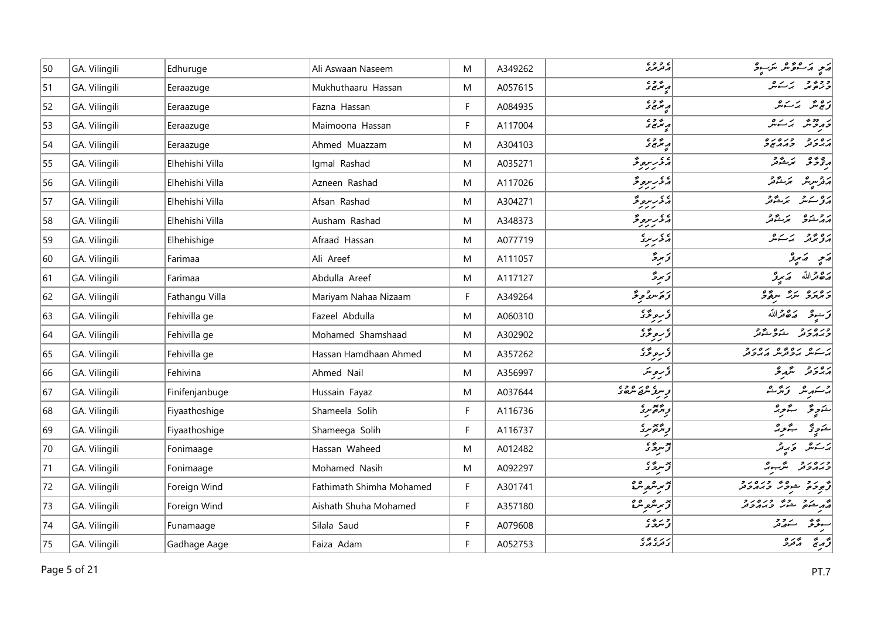| 50 | GA. Vilingili | Edhuruge        | Ali Aswaan Naseem        | M           | A349262 | ړ و و ړ<br>مرمونو                               | أە ئەس ئەس ئەسرە                       |
|----|---------------|-----------------|--------------------------|-------------|---------|-------------------------------------------------|----------------------------------------|
| 51 | GA. Vilingili | Eeraazuge       | Mukhuthaaru Hassan       | M           | A057615 | د پر پی د<br>در پر پی                           | ووە ئەسكەش                             |
| 52 | GA. Vilingili | Eeraazuge       | Fazna Hassan             | F           | A084935 | <br>  د برگان د                                 | ۇچىگە ئەسكىر                           |
| 53 | GA. Vilingili | Eeraazuge       | Maimoona Hassan          | F           | A117004 | د مرگرم د<br>د په مرگ                           | جەج ئەسكىر                             |
| 54 | GA. Vilingili | Eeraazuge       | Ahmed Muazzam            | M           | A304103 | د پر پر د<br>پر پر پی ی                         | נפנד בנפנס<br>גיבת בגמשב               |
| 55 | GA. Vilingili | Elhehishi Villa | Igmal Rashad             | M           | A035271 | ە ئەربىرە ئ <sup>ى</sup> ر                      | د ه څو کر کو د                         |
| 56 | GA. Vilingili | Elhehishi Villa | Azneen Rashad            | M           | A117026 | ې ئەربىرە ئ <sup>ۇ</sup><br>مەمرىرىيە           | كەنگە سىر كىرىشى ئىشكەتلەر             |
| 57 | GA. Vilingili | Elhehishi Villa | Afsan Rashad             | M           | A304271 | ، ئەربىرە ئ <sup>ۇ</sup>                        | رە ئەش ئەيئە                           |
| 58 | GA. Vilingili | Elhehishi Villa | Ausham Rashad            | M           | A348373 | كالمؤربره قح                                    | ر د د کار د کار کار کار کرد کر         |
| 59 | GA. Vilingili | Elhehishige     | Afraad Hassan            | M           | A077719 | ې ئەرىرى<br>مەرىرى                              | رە پەر بەسەش                           |
| 60 | GA. Vilingili | Farimaa         | Ali Areef                | M           | A111057 | ۇ برۇ                                           | أتذبح الأسيرقر                         |
| 61 | GA. Vilingili | Farimaa         | Abdulla Areef            | M           | A117127 | تزىرىچ                                          | برە دالله كەيدى                        |
| 62 | GA. Vilingili | Fathangu Villa  | Mariyam Nahaa Nizaam     | F           | A349264 | ۇ ئەسمەھ بۇ                                     | رەرە برو سرچ                           |
| 63 | GA. Vilingili | Fehivilla ge    | Fazeel Abdulla           | M           | A060310 | ې ره وی<br><u>د رو</u> وی                       | ترسوعه ضكاه تدالله                     |
| 64 | GA. Vilingili | Fehivilla ge    | Mohamed Shamshaad        | M           | A302902 | ې<br>تر <sub>مر</sub> مونځۍ                     | ورەرو دەھەر<br><i>جەم</i> ەدىر شۇرىشەر |
| 65 | GA. Vilingili | Fehivilla ge    | Hassan Hamdhaan Ahmed    | M           | A357262 | ۇروڭۇ                                           | ر ره ده وه ده د و                      |
| 66 | GA. Vilingili | Fehivina        | Ahmed Nail               | M           | A356997 | ۇروپر<br><u>سىم</u>                             | برەر ئە ئىرگ                           |
| 67 | GA. Vilingili | Finifenjanbuge  | Hussain Fayaz            | M           | A037644 | و سرگر مرگر و د ،                               | برسكهر مكر توكر شكر                    |
| 68 | GA. Vilingili | Fiyaathoshige   | Shameela Solih           | F           | A116736 | و پژ <sub>یخ مرد</sub> ً                        | أخوي بمور                              |
| 69 | GA. Vilingili | Fiyaathoshige   | Shameega Solih           | F           | A116737 | و پھر ہ<br>پر مربو                              | خودٍ مؤودٌ                             |
| 70 | GA. Vilingili | Fonimaage       | Hassan Waheed            | M           | A012482 | پر<br>تر سرچ <sub>ک</sub>                       | يزكتاش الكرياني                        |
| 71 | GA. Vilingili | Fonimaage       | Mohamed Nasih            | M           | A092297 | بر<br>تر سرچ <sub>ک</sub>                       | ورەرو شەرە                             |
| 72 | GA. Vilingili | Foreign Wind    | Fathimath Shimha Mohamed | $\mathsf F$ | A301741 | ۇ <sub>مرى</sub> ش <sub>ىر</sub> ش <sup>ە</sup> | و و د ه شودر و د و د و                 |
| 73 | GA. Vilingili | Foreign Wind    | Aishath Shuha Mohamed    | F           | A357180 | ۇ <sub>مرىتىمو</sub> تىگا                       | ه د شکوه استان و بر ۱۵ د و د           |
| 74 | GA. Vilingili | Funamaage       | Silala Saud              | F           | A079608 | و ر د ،<br>توسرچ د                              | سوڭرى سىھەتەر                          |
| 75 | GA. Vilingili | Gadhage Aage    | Faiza Adam               | F           | A052753 |                                                 | وٌ پرځ پر ژوره                         |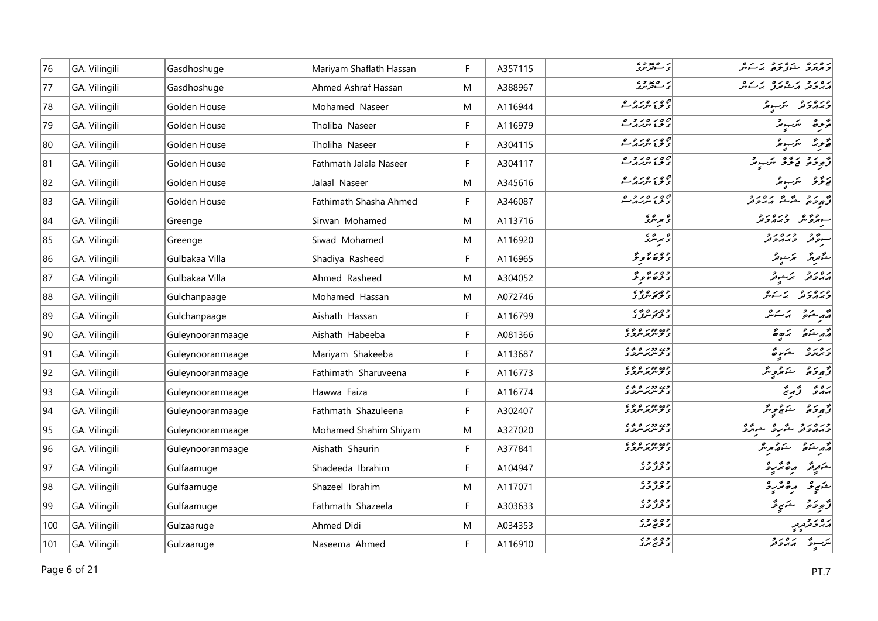| 76  | GA. Vilingili | Gasdhoshuge      | Mariyam Shaflath Hassan | F  | A357115 | ر ۔ صوبے<br>ی سستمبروی                                | رەرە بەۋرە بەت                                   |
|-----|---------------|------------------|-------------------------|----|---------|-------------------------------------------------------|--------------------------------------------------|
| 77  | GA. Vilingili | Gasdhoshuge      | Ahmed Ashraf Hassan     | M  | A388967 | ر ره پر و ،<br>کی سنگونوی                             | رەرد رەپرە رىك                                   |
| 78  | GA. Vilingili | Golden House     | Mohamed Naseer          | M  | A116944 | ە مەمەر مەر مەر<br>ج                                  | ورەرو شبىر                                       |
| 79  | GA. Vilingili | Golden House     | Tholiba Naseer          | F  | A116979 | ە ە رە روپە<br>ئەمەندىن مەر                           | جُرْحَ<br>ىئرىب تر                               |
| 80  | GA. Vilingili | Golden House     | Tholiha Naseer          | F  | A304115 | ە ە رە روپە<br>ئەمەندىن مەر                           | ۇرۇ سەببە                                        |
| 81  | GA. Vilingili | Golden House     | Fathmath Jalala Naseer  | F  | A304117 | ە ە رەر دە<br>ئەمەنە مەركەت                           | ۇۋە قۇۋ ئىب                                      |
| 82  | GA. Vilingili | Golden House     | Jalaal Naseer           | M  | A345616 | ە دىر دىر دەر<br>ئىسى ئىرىركەت                        | د پوه په پېړۍ لري.                               |
| 83  | GA. Vilingili | Golden House     | Fathimath Shasha Ahmed  | F  | A346087 | ە دېر دېر د ه<br>د نوع مرد پر                         | ۇيوۋە شىش كەرد                                   |
| 84  | GA. Vilingili | Greenge          | Sirwan Mohamed          | M  | A113716 | وبرعر                                                 | سوره وره دو<br>سوپروس وبرمارو                    |
| 85  | GA. Vilingili | Greenge          | Siwad Mohamed           | M  | A116920 | و برمری                                               | و ره ر و<br><i>د ب</i> رگرفر<br>سەرۇ تىر         |
| 86  | GA. Vilingili | Gulbakaa Villa   | Shadiya Rasheed         | F. | A116965 | وە رەپە<br>ئەخر <i>ە ئا</i> رى                        | مشوردگر<br>کرشہ تر<br>سر                         |
| 87  | GA. Vilingili | Gulbakaa Villa   | Ahmed Rasheed           | M  | A304052 | دەر» ۋ                                                | رەر <i>ەستىرى</i><br>مەركىر كەشىمى               |
| 88  | GA. Vilingili | Gulchanpaage     | Mohamed Hassan          | M  | A072746 | و ہے پر ہ و » ،<br>ترمیم سمل ی                        | ورەرو پەسكىر                                     |
| 89  | GA. Vilingili | Gulchanpaage     | Aishath Hassan          | F  | A116799 | و ه بر ه و » ،<br>د نوکه سرو د                        | ۇرىشقى ئەسكىر                                    |
| 90  | GA. Vilingili | Guleynooranmaage | Aishath Habeeba         | F. | A081366 | وړ، دو ر ۵ پر ،<br>ۍ مرس <i>مرد</i> ی                 | أمار ويداري                                      |
| 91  | GA. Vilingili | Guleynooranmaage | Mariyam Shakeeba        | F  | A113687 | وړ دور ه د  ،<br>د <del>و</del> سربرسر <del>د</del> د | ر ه ر ه<br><del>د</del> بربرگر<br>شەرە ئە        |
| 92  | GA. Vilingili | Guleynooranmaage | Fathimath Sharuveena    | F. | A116773 | وړ، دو ر ه ځ ،<br>د نوسرپوسرو د                       | شەمرە بىگر<br>و مر د<br>تر مور می                |
| 93  | GA. Vilingili | Guleynooranmaage | Hawwa Faiza             | F. | A116774 | وړ، دو ر ه ځ ،<br>د نوسرپوسرو د                       | برەپچ<br>ترٌ مريحٌ                               |
| 94  | GA. Vilingili | Guleynooranmaage | Fathmath Shazuleena     | F. | A302407 | وړ، دو ر ه ځ ،<br>د نوسربرسرو د                       | ے کے مح <sub>ر</sub> مگر<br>ۇ ب <sub>و</sub> ر د |
| 95  | GA. Vilingili | Guleynooranmaage | Mohamed Shahim Shiyam   | M  | A327020 | وړ دو ر ه و ،<br>د <del>و</del> سربرسر <del>و</del> د | ورەر د شرو شەرى                                  |
| 96  | GA. Vilingili | Guleynooranmaage | Aishath Shaurin         | F  | A377841 | و در و ده و د و<br>د موسرپرسرچر د                     | گەرشۇم شۇرگىرىگر                                 |
| 97  | GA. Vilingili | Gulfaamuge       | Shadeeda Ibrahim        | F. | A104947 | وه پوو ،<br>د نوتو تر د                               | ەھ تررۈ<br>شەَ تېرىتگر                           |
| 98  | GA. Vilingili | Gulfaamuge       | Shazeel Ibrahim         | M  | A117071 | د ه و د د ،<br>د ترتر تر د                            | برە ئۆرۈ<br>شەيچ پى                              |
| 99  | GA. Vilingili | Gulfaamuge       | Fathmath Shazeela       | F  | A303633 | د ه و و ،<br>د ترتو تر د                              | و بر د<br>اگرېږ ده<br>شَ پچ گ                    |
| 100 | GA. Vilingili | Gulzaaruge       | Ahmed Didi              | M  | A034353 | د ه ه و د<br>د نومځ مرد                               | ر صد و<br> پرچر تورمو                            |
| 101 | GA. Vilingili | Gulzaaruge       | Naseema Ahmed           | F. | A116910 | و ه پر و ۽<br>ي ڪريج مري                              | ترسوی بره رو<br>سرسوی ایربرو تر                  |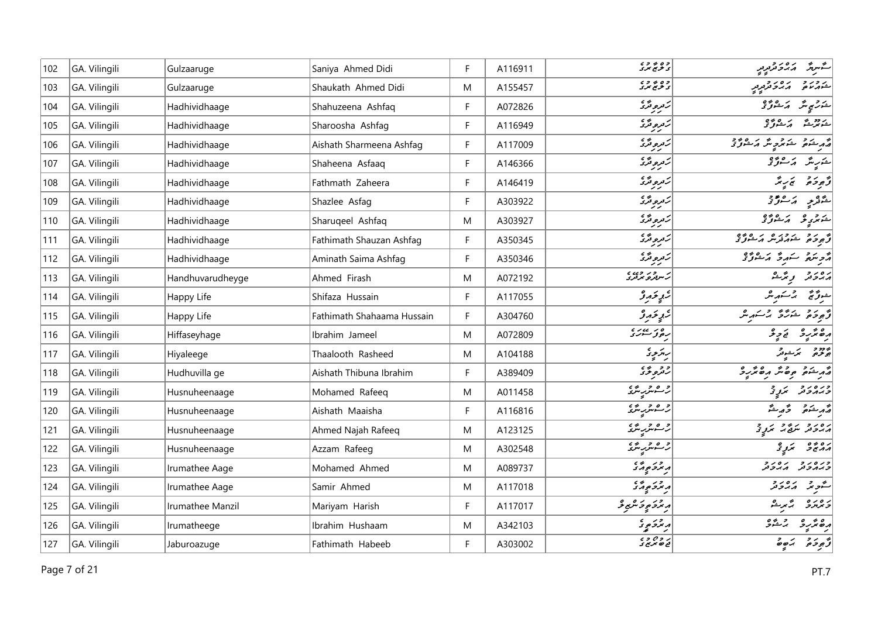| 102 | GA. Vilingili | Gulzaaruge       | Saniya Ahmed Didi          | F           | A116911 | ا و ه پر و ء<br>ا د نومځ مور   | گەس كەرگەر ئەربىر<br>كەنبەر كەرگەر ئەر |
|-----|---------------|------------------|----------------------------|-------------|---------|--------------------------------|----------------------------------------|
| 103 | GA. Vilingili | Gulzaaruge       | Shaukath Ahmed Didi        | M           | A155457 | و ه پر و ء<br>د نومځ مرد       |                                        |
| 104 | GA. Vilingili | Hadhividhaage    | Shahuzeena Ashfaq          | F           | A072826 | ر<br>روپوترز                   |                                        |
| 105 | GA. Vilingili | Hadhividhaage    | Sharoosha Ashfaq           | F           | A116949 | که توجه توجه<br>  سر مرسم توجه | شەمرىش كەشقۇق                          |
| 106 | GA. Vilingili | Hadhividhaage    | Aishath Sharmeena Ashfaq   | F           | A117009 | که توجه توجه<br>  سراسر مرکزی  | ر<br>مگر شكور شكرد بگر مكشور د         |
| 107 | GA. Vilingili | Hadhividhaage    | Shaheena Asfaaq            | F           | A146366 | ر<br>ترتوج ترد                 | شەرىتر كەسىۋى                          |
| 108 | GA. Vilingili | Hadhividhaage    | Fathmath Zaheera           | F           | A146419 | ر<br>ترتوجوتری                 | قەد ئەرقىيە                            |
| 109 | GA. Vilingili | Hadhividhaage    | Shazlee Asfaq              | F           | A303922 | ر<br>تر در جو دگری<br>مصرف     | شورم پر معدد                           |
| 110 | GA. Vilingili | Hadhividhaage    | Sharuqeel Ashfaq           | M           | A303927 | ر<br>رکوروتری                  | شەھرىي ھەر ئەھرى                       |
| 111 | GA. Vilingili | Hadhividhaage    | Fathimath Shauzan Ashfaq   | F           | A350345 | ر<br>دىرى <sub>ر</sub> ىژى     | ۇپروتۇ سىمەترىش كەشتۇرى                |
| 112 | GA. Vilingili | Hadhividhaage    | Aminath Saima Ashfag       | F           | A350346 | ر<br>د تر و تر د               | הכתב בתל הבתי                          |
| 113 | GA. Vilingili | Handhuvarudheyge | Ahmed Firash               | M           | A072192 | ر سرور وړ، ،<br>د سرجرو بوجری  | برەرد پەرھ                             |
| 114 | GA. Vilingili | Happy Life       | Shifaza Hussain            | $\mathsf F$ | A117055 | ر<br>ر <sub>نجو</sub> خرمر ژ   | الموقع بركتهريش                        |
| 115 | GA. Vilingili | Happy Life       | Fathimath Shahaama Hussain | F           | A304760 | <sup>ى</sup> بو خەر ۋ          | و و در در در در م                      |
| 116 | GA. Vilingili | Hiffaseyhage     | Ibrahim Jameel             | M           | A072809 | ە ئەر يەر ي<br>بەھ تۇ سىنەر ي  | رە ئرىر ئىچى                           |
| 117 | GA. Vilingili | Hiyaleege        | Thaalooth Rasheed          | M           | A104188 | رېز پوت <sup>ې</sup>           | پروو کرشونر<br>جو کر کرشونر            |
| 118 | GA. Vilingili | Hudhuvilla ge    | Aishath Thibuna Ibrahim    | F           | A389409 | ر د تره د می                   | ړ.<br>په شوې وېش رې نړ                 |
| 119 | GA. Vilingili | Husnuheenaage    | Mohamed Rafeeq             | M           | A011458 | 2 مىش <i>رى</i> دىگەنگە        | ورەرو پرَ پِ                           |
| 120 | GA. Vilingili | Husnuheenaage    | Aishath Maaisha            | F           | A116816 | 2 مەيرى <i>ر بىرى</i>          | وأرشكم وأريثه                          |
| 121 | GA. Vilingili | Husnuheenaage    | Ahmed Najah Rafeeq         | M           | A123125 | <i>ر م</i> مرگزیدگر<br>م       | رور و روم پروم                         |
| 122 | GA. Vilingili | Husnuheenaage    | Azzam Rafeeg               | M           | A302548 | 2 مەيرىر بىرى<br>مەسىر         | رەپە ترې                               |
| 123 | GA. Vilingili | Irumathee Aage   | Mohamed Ahmed              | M           | A089737 | ק בק בי<br>ק בק בי             | כנסנכ נסנכ<br>כגמכנ <sub>י</sub> מגבנ  |
| 124 | GA. Vilingili | Irumathee Aage   | Samir Ahmed                | M           | A117018 | د برځ په دي<br>ر               | گريز كەردىر                            |
| 125 | GA. Vilingili | Irumathee Manzil | Mariyam Harish             | F           | A117017 | ریز دو د شرو د                 | ويوره يجبرك                            |
| 126 | GA. Vilingili | Irumatheege      | Ibrahim Hushaam            | M           | A342103 | ېر بر دې<br>بر بر د نو         | رە ئرىرو برخو                          |
| 127 | GA. Vilingili | Jaburoazuge      | Fathimath Habeeb           | F           | A303002 | ر و ه و و و<br>ای ه مربح د     | توجو حقائق المنافية المنتصر            |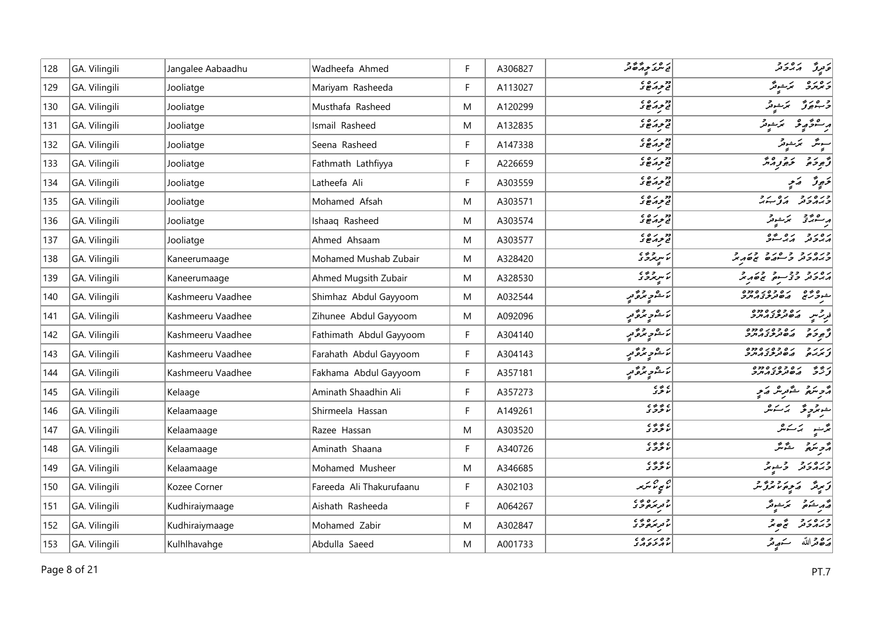| 128 | GA. Vilingili | Jangalee Aabaadhu | Wadheefa Ahmed           | F  | A306827 | <br>  نے مر <sub>کد ک</sub> و پر گھ تر | كورو كالمرور                                         |
|-----|---------------|-------------------|--------------------------|----|---------|----------------------------------------|------------------------------------------------------|
| 129 | GA. Vilingili | Jooliatge         | Mariyam Rasheeda         | F  | A113027 | وو پر ۱۵ ء<br>  فع مورد ۱۵ ء           | رەرە بر <sub>ىشون</sub> گر                           |
| 130 | GA. Vilingili | Jooliatge         | Musthafa Rasheed         | M  | A120299 | فتحر بر ه ع<br>  فتحر بر ه ع           | وجورة كرجور                                          |
| 131 | GA. Vilingili | Jooliatge         | Ismail Rasheed           | M  | A132835 | ود بره ء<br>محمد من                    | ر جۇرگى كەشىر                                        |
| 132 | GA. Vilingili | Jooliatge         | Seena Rasheed            | F  | A147338 | ود بره ء<br>  في مركز هو ي             | سېنگر گرې <u>د</u> وگر                               |
| 133 | GA. Vilingili | Jooliatge         | Fathmath Lathfiyya       | F  | A226659 | دد بره ،<br>  فخ محر پر ه ی            | توجدة بالمحود والمحمد                                |
| 134 | GA. Vilingili | Jooliatge         | Latheefa Ali             | F  | A303559 | دد بره د<br>محرد ه د                   | تزېږ تړنې                                            |
| 135 | GA. Vilingili | Jooliatge         | Mohamed Afsah            | M  | A303571 | ود بره ء<br>محمد جو پر                 | כנסנכ נסגב                                           |
| 136 | GA. Vilingili | Jooliatge         | Ishaaq Rasheed           | M  | A303574 | وو پر 2 ء<br>  في مر پر 2 د            | أور سورج في محر شوقر                                 |
| 137 | GA. Vilingili | Jooliatge         | Ahmed Ahsaam             | M  | A303577 | وو پر 2 ء<br>  في مر پر 2 د            | رەرد رەپ                                             |
| 138 | GA. Vilingili | Kaneerumaage      | Mohamed Mushab Zubair    | M  | A328420 | ئەسپرىرى                               |                                                      |
| 139 | GA. Vilingili | Kaneerumaage      | Ahmed Mugsith Zubair     | M  | A328530 | ئەس <sup>ىرى ج</sup>                   | גם גב ביצ <del>י הם</del> השתיב                      |
| 140 | GA. Vilingili | Kashmeeru Vaadhee | Shimhaz Abdul Gayyoom    | M  | A032544 | ئەشقىر بىرەڭ بېر                       | 0 מי 0 ג 0 ג 0 ג 0 מי 0<br>היי כל גם גם ג ג ג ה      |
| 141 | GA. Vilingili | Kashmeeru Vaadhee | Zihunee Abdul Gayyoom    | M  | A092096 | ئەشقىر برۇ تېر                         | ز میں دو وہ محمدہ دوہ<br>افریکسی مصافر محمد محمد     |
| 142 | GA. Vilingili | Kashmeeru Vaadhee | Fathimath Abdul Gayyoom  | F. | A304140 | ئەشقىر برۇ تېر                         | ם גל גם בסגסמם<br>צףכת גםעי <i>ב</i> דגיגל           |
| 143 | GA. Vilingili | Kashmeeru Vaadhee | Farahath Abdul Gayyoom   | F  | A304143 | يَدَ شَعْرٍ مِرْءٌ مَدِ                | ر ر ر د د د ده ده ده ده<br>ز بربره د مان تورمز د ارد |
| 144 | GA. Vilingili | Kashmeeru Vaadhee | Fakhama Abdul Gayyoom    | F  | A357181 | ئەشھۇ ئىرقە تېر                        | ۇ 33<br>ر ۵ ۵ و ۵ و و ۵<br>هر هو بخر هر حر حر        |
| 145 | GA. Vilingili | Kelaage           | Aminath Shaadhin Ali     | F  | A357273 | ى بەي<br>مامۇي                         | ومحافظ المتقرير وكمع                                 |
| 146 | GA. Vilingili | Kelaamaage        | Shirmeela Hassan         | F  | A149261 | ء پیچ ۽<br> ما مگر پن                  | جوړې تر کرکړي.<br>مرکز                               |
| 147 | GA. Vilingili | Kelaamaage        | Razee Hassan             | M  | A303520 | ء پیچ ۽<br> ما مگر پن                  | ېژىنو ئەس <i>تەنگ</i> ە                              |
| 148 | GA. Vilingili | Kelaamaage        | Aminath Shaana           | F  | A340726 | ، پور<br>ما موری                       | ۇ ئەسكە ئەسىر                                        |
| 149 | GA. Vilingili | Kelaamaage        | Mohamed Musheer          | M  | A346685 | ى ئۆتە ي<br>مەنترىخو ت                 | ورەرو وجو                                            |
| 150 | GA. Vilingili | Kozee Corner      | Fareeda Ali Thakurufaanu | F  | A302103 | مې موسم متر پر<br>م                    | ۇيدىگە مەچەرىمىتى ئىگە                               |
| 151 | GA. Vilingili | Kudhiraiymaage    | Aishath Rasheeda         | F  | A064267 | د بره و ،<br>مورگوری                   | مەر ئىكى ئىم ئىس ئىگە                                |
| 152 | GA. Vilingili | Kudhiraiymaage    | Mohamed Zabir            | M  | A302847 | د پره وي                               |                                                      |
| 153 | GA. Vilingili | Kulhlhavahge      | Abdulla Saeed            | M  | A001733 | وه ر ر ه ،<br>ما پر نوار د             | مَدْهُ مَّرَاللَّهُ سَوَمِدْ                         |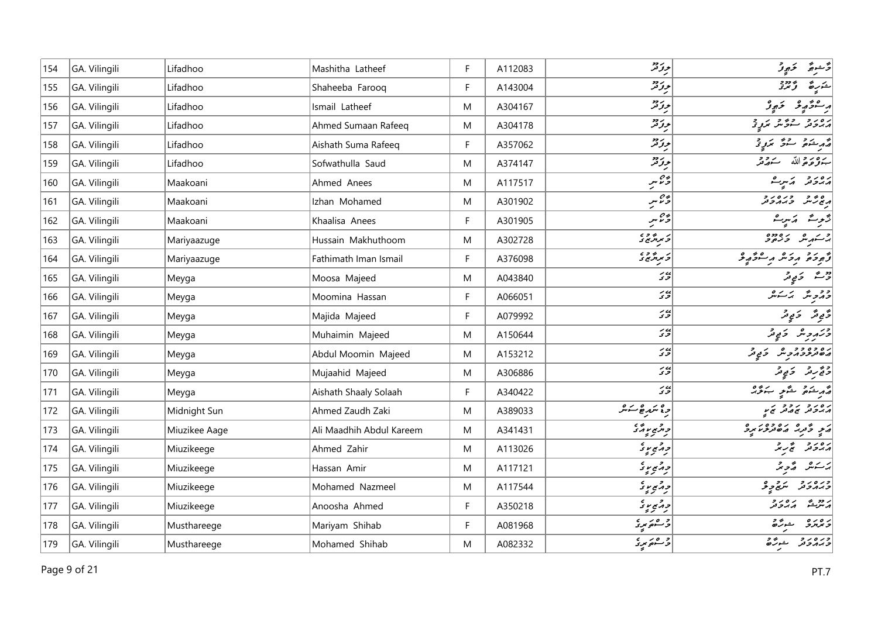| 154 | GA. Vilingili | Lifadhoo      | Mashitha Latheef         | F  | A112083 | عرود                       | ۇ جەنبە ئەرەقى<br>مەسىرە ئىسىمى              |
|-----|---------------|---------------|--------------------------|----|---------|----------------------------|----------------------------------------------|
| 155 | GA. Vilingili | Lifadhoo      | Shaheeba Farooq          | F. | A143004 | جوتوفر                     | دره ودد.<br>شرحه ومرد                        |
| 156 | GA. Vilingili | Lifadhoo      | Ismail Latheef           | M  | A304167 | عروجو                      | وحدود دود                                    |
| 157 | GA. Vilingili | Lifadhoo      | Ahmed Sumaan Rafeeq      | M  | A304178 | عرقرقر                     | رەرد دەرد تەرىپى<br>مەددىر سۇڭىر مەرى        |
| 158 | GA. Vilingili | Lifadhoo      | Aishath Suma Rafeeq      | F  | A357062 | عرقرقش                     | ۇرمۇم سۇ ئرې                                 |
| 159 | GA. Vilingili | Lifadhoo      | Sofwathulla Saud         | M  | A374147 | عرقرقر                     | بة وبرة الله من مروح                         |
| 160 | GA. Vilingili | Maakoani      | Ahmed Anees              | M  | A117517 | و پە<br>ج                  | پرورو کمپرے                                  |
| 161 | GA. Vilingili | Maakoani      | Izhan Mohamed            | M  | A301902 | وتنمبر                     | הגלית בגבבת                                  |
| 162 | GA. Vilingili | Maakoani      | Khaalisa Anees           | F  | A301905 | و پر<br>د تا سر            | ڏوِٽ پَسِٿ                                   |
| 163 | GA. Vilingili | Mariyaazuge   | Hussain Makhuthoom       | M  | A302728 | ر<br>5 مرمر <sup>ی</sup> د | - مسكور كوروم.<br>مسكور كرمان                |
| 164 | GA. Vilingili | Mariyaazuge   | Fathimath Iman Ismail    | F. | A376098 | ر سرگرم د<br>د سرگرم د     | و و د و مرد شر مر شو د و                     |
| 165 | GA. Vilingili | Meyga         | Moosa Majeed             | M  | A043840 | حرمر                       | ده شه په کالمحمد تر د                        |
| 166 | GA. Vilingili | Meyga         | Moomina Hassan           | F  | A066051 | چرم                        | ووير بركند                                   |
| 167 | GA. Vilingili | Meyga         | Majida Majeed            | F  | A079992 | حرمى                       |                                              |
| 168 | GA. Vilingili | Meyga         | Muhaimin Majeed          | M  | A150644 | چرم                        | وزروير كهدر                                  |
| 169 | GA. Vilingili | Meyga         | Abdul Moomin Majeed      | M  | A153212 | حرمر                       |                                              |
| 170 | GA. Vilingili | Meyga         | Mujaahid Majeed          | M  | A306886 | چرم                        | وفرگر دي گر<br>دفرگر دي گر<br>فرگر شو چر     |
| 171 | GA. Vilingili | Meyga         | Aishath Shaaly Solaah    | F  | A340422 | چرم                        |                                              |
| 172 | GA. Vilingili | Midnight Sun  | Ahmed Zaudh Zaki         | M  | A389033 | ج ؟ سَرَمٍ عَاسَسْ         | - 222 - 222 - 24                             |
| 173 | GA. Vilingili | Miuzikee Aage | Ali Maadhih Abdul Kareem | M  | A341431 | د د ترې په د د<br>ر        | ر و در دور دور و در د                        |
| 174 | GA. Vilingili | Miuzikeege    | Ahmed Zahir              | M  | A113026 | כומ<br>הממשי               | رەرو ئەرىر                                   |
| 175 | GA. Vilingili | Miuzikeege    | Hassan Amir              | M  | A117121 |                            | يرك مداخر وتحرجر                             |
| 176 | GA. Vilingili | Miuzikeege    | Mohamed Nazmeel          | M  | A117544 | وړېږي<br>ر                 | ورەرو شەروگ                                  |
| 177 | GA. Vilingili | Miuzikeege    | Anoosha Ahmed            | F  | A350218 | حەدثى بىرى<br>ب            | پر دون په کرد ور                             |
| 178 | GA. Vilingili | Musthareege   | Mariyam Shihab           | F  | A081968 | اتر صدر<br> تر سهوسپری     | رەرە شەرە<br>جىرىرى شەرە                     |
| 179 | GA. Vilingili | Musthareege   | Mohamed Shihab           | M  | A082332 | د صمر مر <sub>و</sub>      | وره رو در شور<br><i>وبرو</i> تر شو <i>ره</i> |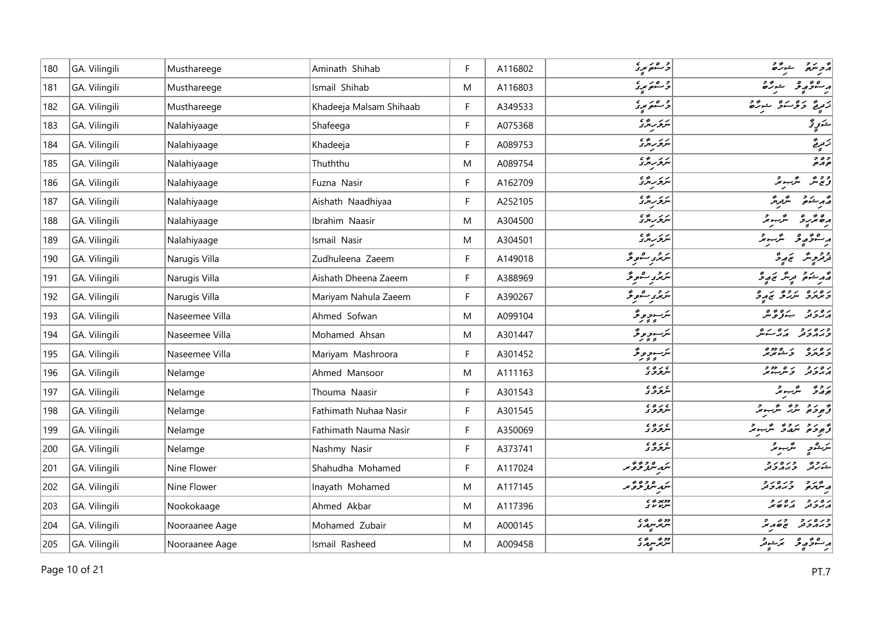| 180 | GA. Vilingili | Musthareege    | Aminath Shihab          | F           | A116802 | ژ مصر سر م<br>  ژ مشخص سر پر             |                                                                      |
|-----|---------------|----------------|-------------------------|-------------|---------|------------------------------------------|----------------------------------------------------------------------|
| 181 | GA. Vilingili | Musthareege    | Ismail Shihab           | M           | A116803 | ر صحيح مربح<br>ح                         |                                                                      |
| 182 | GA. Vilingili | Musthareege    | Khadeeja Malsam Shihaab | F           | A349533 | اتر صدر<br> تر سعو میرد                  | و گرمه شرکته<br>در مرکز شرکته<br>در مرکز شرکته<br>در گرمه گرمه شرکته |
| 183 | GA. Vilingili | Nalahiyaage    | Shafeega                | $\mathsf F$ | A075368 | يرۇرېژى                                  | ڪورِ ٿُڙ<br>ڪ                                                        |
| 184 | GA. Vilingili | Nalahiyaage    | Khadeeja                | F           | A089753 | يرىز پە                                  | ر<br>ترورچٌ                                                          |
| 185 | GA. Vilingili | Nalahiyaage    | Thuththu                | M           | A089754 | يرۇرېژى                                  | $\frac{202}{200}$                                                    |
| 186 | GA. Vilingili | Nalahiyaage    | Fuzna Nasir             | $\mathsf F$ | A162709 | پر تو به پر په<br>مربو به پر             | د د بر<br>زې سر<br>ىئرىبەر                                           |
| 187 | GA. Vilingili | Nalahiyaage    | Aishath Naadhiyaa       | $\mathsf F$ | A252105 | بر دير<br>مربوبر دي                      | و <i>گهرڪو سگ</i> رمگ                                                |
| 188 | GA. Vilingili | Nalahiyaage    | Ibrahim Naasir          | M           | A304500 | ىر ئەرەپرى<br>سرىۋىر مەرى                | رە ئەر ئە ئەر                                                        |
| 189 | GA. Vilingili | Nalahiyaage    | Ismail Nasir            | M           | A304501 | بر بر بر بر بر<br>متر فر مرد             |                                                                      |
| 190 | GA. Vilingili | Narugis Villa  | Zudhuleena Zaeem        | F           | A149018 | يرتز <sub>ىر</sub> سى <sub>مو</sub> تۇ   | فرفر پیم نے پر د                                                     |
| 191 | GA. Vilingili | Narugis Villa  | Aishath Dheena Zaeem    | $\mathsf F$ | A388969 | ير چ <sub>رم</sub> س <sub>ک</sub> و گر   | ۇرىشى تېرىگە تەرە                                                    |
| 192 | GA. Vilingili | Narugis Villa  | Mariyam Nahula Zaeem    | F           | A390267 | ىئرىزى <sub>ر</sub> سى <sub>مو</sub> ىتى | נ 2010 נכש הם                                                        |
| 193 | GA. Vilingili | Naseemee Villa | Ahmed Sofwan            | M           | A099104 | ىئەسىر <sub>ى</sub> رىدۇ.<br>ئىستىم      | رەرد رەپەر<br>مەردىر سۆۋىر                                           |
| 194 | GA. Vilingili | Naseemee Villa | Mohamed Ahsan           | M           | A301447 | ىئرسوچە بۇ گە                            | ورەرو رەپ                                                            |
| 195 | GA. Vilingili | Naseemee Villa | Mariyam Mashroora       | F           | A301452 | ىئرسوچە بۇ<br>ئىستىمىز                   | ره ره در ۲۶۵ ورو<br>د بربرد کار کرد                                  |
| 196 | GA. Vilingili | Nelamge        | Ahmed Mansoor           | M           | A111163 | ړ ر ه ،<br>سربونو د                      | גפגב בספר<br>הגבת בית-היב                                            |
| 197 | GA. Vilingili | Nelamge        | Thouma Naasir           | F           | A301543 | ړ ر ه ،<br>سربونو د                      | أبروه المرسومر                                                       |
| 198 | GA. Vilingili | Nelamge        | Fathimath Nuhaa Nasir   | F.          | A301545 | ړ ر ه ،<br>سربونو د                      | و دو دو شهر                                                          |
| 199 | GA. Vilingili | Nelamge        | Fathimath Nauma Nasir   | F           | A350069 | ے رے ے<br>سربربر <sub>ک</sub>            | توجدة مددو وسير                                                      |
| 200 | GA. Vilingili | Nelamge        | Nashmy Nasir            | F           | A373741 | ے رہ ے<br>سربوری                         | لتركوم الترجير                                                       |
| 201 | GA. Vilingili | Nine Flower    | Shahudha Mohamed        | F           | A117024 |                                          | شررة ورەرو                                                           |
| 202 | GA. Vilingili | Nine Flower    | Inayath Mohamed         | M           | A117145 | ﯩﺌﯩﺮﯨﺸﯘﯕﯘﻣﯩ                              | به شرح وره دو                                                        |
| 203 | GA. Vilingili | Nookokaage     | Ahmed Akbar             | M           | A117396 | وویو پر ہ<br>سربر رکھ ت                  | גם גם גם גב                                                          |
| 204 | GA. Vilingili | Nooraanee Aage | Mohamed Zubair          | M           | A000145 | دوم سرم د<br>سربر سر                     | כנסנב בסתב                                                           |
| 205 | GA. Vilingili | Nooraanee Aage | Ismail Rasheed          | M           | A009458 | دو په په په<br>سرپرسر                    | برحوم والمحمد                                                        |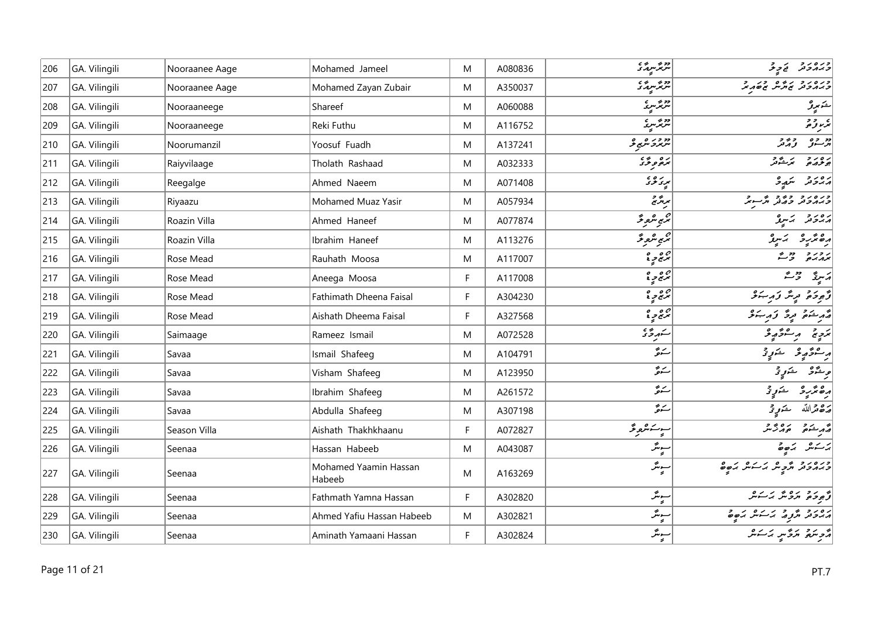| 206 | GA. Vilingili | Nooraanee Aage | Mohamed Jameel                  | M  | A080836 | دو په په په<br>سرپرسرد <sub>په</sub>       | دبره بر دبر تو تو تو         |
|-----|---------------|----------------|---------------------------------|----|---------|--------------------------------------------|------------------------------|
| 207 | GA. Vilingili | Nooraanee Aage | Mohamed Zayan Zubair            | M  | A350037 | دو پر پرې<br>سرچرسوړۍ                      | כנסג כ גם פי כל              |
| 208 | GA. Vilingili | Nooraaneege    | Shareef                         | M  | A060088 | دو پر په<br>سرپرسرچ                        | ڪ مور ژ<br>پ                 |
| 209 | GA. Vilingili | Nooraaneege    | Reki Futhu                      | M  | A116752 | تر پڑ ہیں؟                                 | بزىرود                       |
| 210 | GA. Vilingili | Noorumanzil    | Yoosuf Fuadh                    | M  | A137241 | ير پر بر عربي پر                           | دو وه<br>ترسو زړند           |
| 211 | GA. Vilingili | Raiyvilaage    | Tholath Rashaad                 | M  | A032333 | ره<br>مره و د د د                          | رەر دىر دەر                  |
| 212 | GA. Vilingili | Reegalge       | Ahmed Naeem                     | M  | A071408 | ىر ە دى<br>ئە                              | رەرو شھرى                    |
| 213 | GA. Vilingili | Riyaazu        | Mohamed Muaz Yasir              | M  | A057934 | بروج                                       | ورەر د دە د كرسېتى           |
| 214 | GA. Vilingili | Roazin Villa   | Ahmed Haneef                    | M  | A077874 | ە<br>ئىرىب <sub>و</sub> ش <sub>ىرى</sub> ر | أرور و برسي                  |
| 215 | GA. Vilingili | Roazin Villa   | Ibrahim Haneef                  | M  | A113276 | ترىبو شرىر قە                              | رەتزىر ئىبر                  |
| 216 | GA. Vilingili | Rose Mead      | Rauhath Moosa                   | M  | A117007 | 0 ه ج ح و ۹<br>مربع ح و ۹                  | برور و دورم                  |
| 217 | GA. Vilingili | Rose Mead      | Aneega Moosa                    | F  | A117008 | 0 ه.<br>  مربع ح <sub>و</sub> ي            | كاسريح وحرث                  |
| 218 | GA. Vilingili | Rose Mead      | Fathimath Dheena Faisal         | F. | A304230 | 0 ه.<br>  مربع ح <sub>و</sub> ي            | ۋە ئەق بېرىگ ئەربىدۇ         |
| 219 | GA. Vilingili | Rose Mead      | Aishath Dheema Faisal           | F  | A327568 | 0 ه ه ح<br>مربع ح <sub>و</sub> ء           | أثار مشكرة المردح وكراجين    |
| 220 | GA. Vilingili | Saimaage       | Rameez Ismail                   | M  | A072528 | ستهردنى                                    | برَجٍ جَمْ رِ مُتَوَفِّرٍ وَ |
| 221 | GA. Vilingili | Savaa          | Ismail Shafeeg                  | M  | A104791 | سەۋ                                        | ر جۇرگى جەرپى                |
| 222 | GA. Vilingili | Savaa          | Visham Shafeeg                  | M  | A123950 | سەۋ                                        | ويشكى الشكورة                |
| 223 | GA. Vilingili | Savaa          | Ibrahim Shafeeq                 | M  | A261572 | ستهر                                       | ەرھەتمەر 2<br>س<br>ڪو تو تو  |
| 224 | GA. Vilingili | Savaa          | Abdulla Shafeeq                 | M  | A307198 | سەۋ                                        | رە دالله شورتم               |
| 225 | GA. Vilingili | Season Villa   | Aishath Thakhkhaanu             | F  | A072827 | سەسەھرى <del>د</del><br>ئ                  | ړ د ده د د د ک               |
| 226 | GA. Vilingili | Seenaa         | Hassan Habeeb                   | M  | A043087 | سىپىتر                                     | $rac{2}{2}$                  |
| 227 | GA. Vilingili | Seenaa         | Mohamed Yaamin Hassan<br>Habeeb | M  | A163269 | اسویٹر<br>ع                                |                              |
| 228 | GA. Vilingili | Seenaa         | Fathmath Yamna Hassan           | F  | A302820 | سىپىتر                                     | و دو ده و رکند               |
| 229 | GA. Vilingili | Seenaa         | Ahmed Yafiu Hassan Habeeb       | M  | A302821 | سەپىگە<br>ئە                               | גפנק תונה גבות גם כ          |
| 230 | GA. Vilingili | Seenaa         | Aminath Yamaani Hassan          | F  | A302824 | سوپٽر                                      | أأتجا يترة الرواسي براكاش    |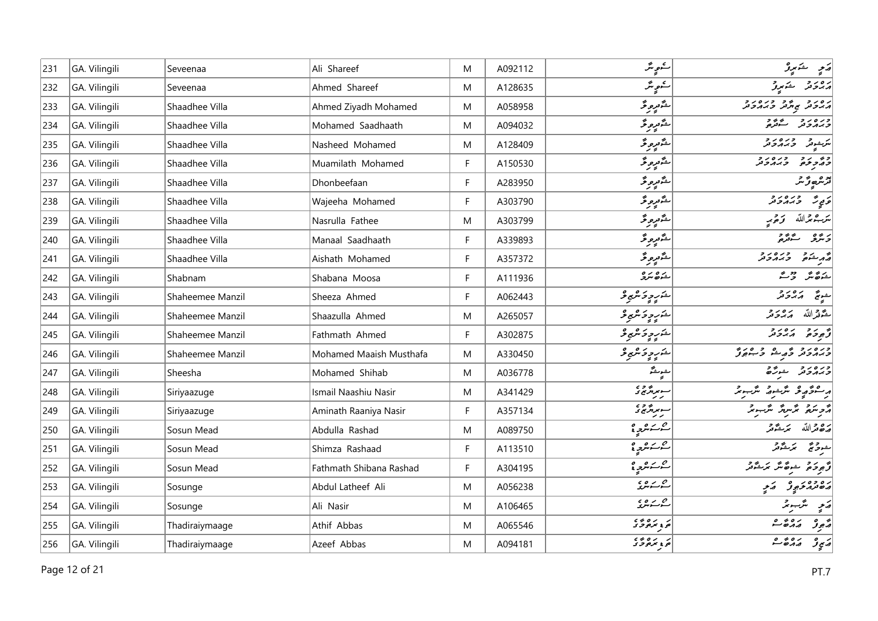| 231 | GA. Vilingili | Seveenaa         | Ali Shareef             | M         | A092112 | ڪ <sub>ھو</sub> مئر                                | ړې خوړ و                                            |
|-----|---------------|------------------|-------------------------|-----------|---------|----------------------------------------------------|-----------------------------------------------------|
| 232 | GA. Vilingili | Seveenaa         | Ahmed Shareef           | M         | A128635 | ء<br>سنو <sub>ء</sub> ِ مٿر                        | رەرو ئىيرو<br>مەروىر ئىيمبرو                        |
| 233 | GA. Vilingili | Shaadhee Villa   | Ahmed Ziyadh Mohamed    | M         | A058958 | ىشەد <sub>ى</sub> رىدۇ.<br>ئەس                     | גם גב היו כגם גב<br>ג'ג'כנק היולנק כג'ורניק         |
| 234 | GA. Vilingili | Shaadhee Villa   | Mohamed Saadhaath       | M         | A094032 | ىشەد <sub>ى</sub> رىدۇ.<br>ئىقتىم                  | وره رو د دود<br>وبربرونر سنتر <sub>مو</sub>         |
| 235 | GA. Vilingili | Shaadhee Villa   | Nasheed Mohamed         | M         | A128409 | ىشەرەتى<br>مەسىر                                   | س شوتر وره د و د                                    |
| 236 | GA. Vilingili | Shaadhee Villa   | Muamilath Mohamed       | F         | A150530 | ىشەرەتۇ<br>ئ                                       | و در دره دره.<br>درگرفتر درگردند                    |
| 237 | GA. Vilingili | Shaadhee Villa   | Dhonbeefaan             | F         | A283950 | ىشەرەپ<br>ئ                                        | بر <sub>م</sub> ر <sub>م</sub> و ژىتر               |
| 238 | GA. Vilingili | Shaadhee Villa   | Wajeeha Mohamed         | F         | A303790 | ىشەدەرەتى<br>ئ                                     | وي دره دره                                          |
| 239 | GA. Vilingili | Shaadhee Villa   | Nasrulla Fathee         | ${\sf M}$ | A303799 | ىشەر <sub>ى</sub> رىگە<br>ئەم                      | ىتربە چراللە     ترەپ                               |
| 240 | GA. Vilingili | Shaadhee Villa   | Manaal Saadhaath        | F         | A339893 | ىشەد <sub>ى</sub> رىدۇ.<br>ئىقتىم                  | ژ شرو گرورو                                         |
| 241 | GA. Vilingili | Shaadhee Villa   | Aishath Mohamed         | F         | A357372 | ئەھمەتە ئەر<br>ئەسىر                               | ه دره دره در د                                      |
| 242 | GA. Vilingili | Shabnam          | Shabana Moosa           | F         | A111936 | شەھ سرچ                                            | شۇمىر جەڭ                                           |
| 243 | GA. Vilingili | Shaheemee Manzil | Sheeza Ahmed            | F         | A062443 | ىش <i>ر چ</i> ېر ئىرىمو ئى                         |                                                     |
| 244 | GA. Vilingili | Shaheemee Manzil | Shaazulla Ahmed         | ${\sf M}$ | A265057 | ىش <i>ر چ</i> ېر ئىرىمى ئى                         | يحوثرالله وبردور                                    |
| 245 | GA. Vilingili | Shaheemee Manzil | Fathmath Ahmed          | F         | A302875 | ىشرىر ئەنگىرى<br>سىمپىيە                           | و د د ده د د                                        |
| 246 | GA. Vilingili | Shaheemee Manzil | Mohamed Maaish Musthafa | ${\sf M}$ | A330450 | ىشرىر ئەش <sub>ىم</sub> ۋ                          | ورەر د پر دە دەرپر<br>دىدرونر ۋړىش ۋىبدوژ           |
| 247 | GA. Vilingili | Sheesha          | Mohamed Shihab          | M         | A036778 | ا جو چي<br>ان                                      | وره د و شوره                                        |
| 248 | GA. Vilingili | Siriyaazuge      | Ismail Naashiu Nasir    | M         | A341429 | اسىيەدىكى<br>كەنبەرگى تە                           | ر موقوع مگرمان مگرسوند                              |
| 249 | GA. Vilingili | Siriyaazuge      | Aminath Raaniya Nasir   | F         | A357134 | اسىمەدى ئى                                         | أأدمتهم لأميلأ الراجد                               |
| 250 | GA. Vilingili | Sosun Mead       | Abdulla Rashad          | M         | A089750 | $\sqrt[2]{\frac{1}{2} \sum_{i=1}^{n} \frac{1}{i}}$ | رَة قرالله يَرْشُونَر                               |
| 251 | GA. Vilingili | Sosun Mead       | Shimza Rashaad          | F         | A113510 | <u>م م</u> مكرمر <sub>و</sub> ء                    | شووج كرشكاتر                                        |
| 252 | GA. Vilingili | Sosun Mead       | Fathmath Shibana Rashad | F         | A304195 | جريمور                                             | ژٌودَهُ شرهٌ شَرَ سَرَشُورَ                         |
| 253 | GA. Vilingili | Sosunge          | Abdul Latheef Ali       | ${\sf M}$ | A056238 | <u>م</u> مەسىرى                                    |                                                     |
| 254 | GA. Vilingili | Sosunge          | Ali Nasir               | ${\sf M}$ | A106465 | <u>م</u> مەسىرى                                    | ارسم میں مقرر<br>مسیحہ مقرر مقرر<br>مسیحہ مقرر مقرر |
| 255 | GA. Vilingili | Thadiraiymaage   | Athif Abbas             | M         | A065546 | <br>  تو بره وي                                    | 250/<br>وتجوفر                                      |
| 256 | GA. Vilingili | Thadiraiymaage   | Azeef Abbas             | ${\sf M}$ | A094181 | ر بره و ،<br>مو برمونه د                           | ړې په ده په                                         |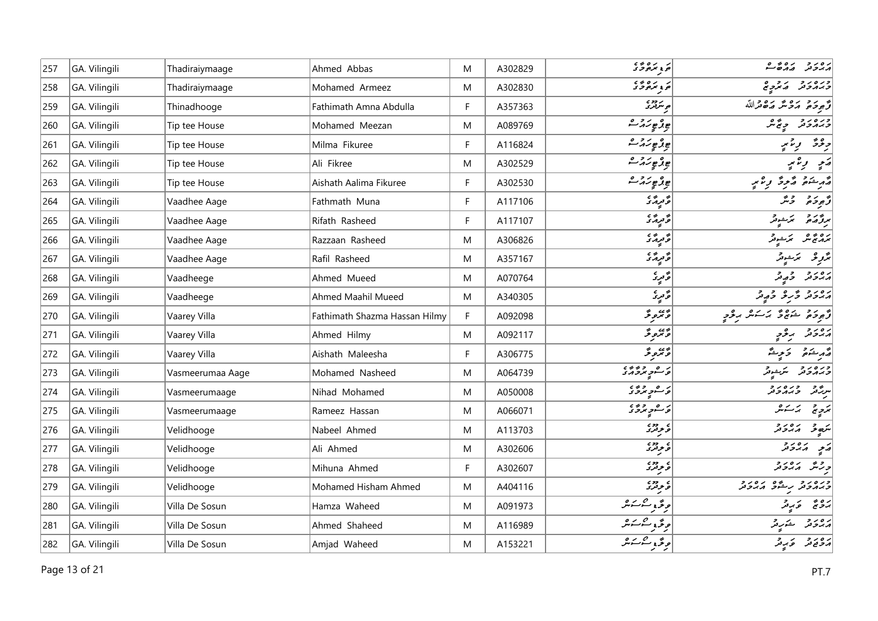| 257 | GA. Vilingili | Thadiraiymaage   | Ahmed Abbas                   | M           | A302829 | ر به ره و ،<br>مونتر ده د د                    | גפנק גפי פ                            |
|-----|---------------|------------------|-------------------------------|-------------|---------|------------------------------------------------|---------------------------------------|
| 258 | GA. Vilingili | Thadiraiymaage   | Mohamed Armeez                | M           | A302830 | ر ره و د<br>می ترمی                            | כממכנק הזקים                          |
| 259 | GA. Vilingili | Thinadhooge      | Fathimath Amna Abdulla        | F           | A357363 | ر دو ء<br>ج سرگری                              | و برد بره بره درالله                  |
| 260 | GA. Vilingili | Tip tee House    | Mohamed Meezan                | M           | A089769 | <br>  ع <sub>ر</sub> قر عرضه مرکز مش           | ورەر ئەچەر                            |
| 261 | GA. Vilingili | Tip tee House    | Milma Fikuree                 | F           | A116824 | <br>  ع <sub>ا</sub> رٌ عِيدَ م <sup>ه</sup>   | د ده وړنم                             |
| 262 | GA. Vilingili | Tip tee House    | Ali Fikree                    | M           | A302529 | ە ئۇ ھەر ئەھ                                   | ړې ورامړ                              |
| 263 | GA. Vilingili | Tip tee House    | Aishath Aalima Fikuree        | $\mathsf F$ | A302530 | ە ئ <sub>ۇ ت</sub> ورىر م                      | ورشتم ومجرد ولابر                     |
| 264 | GA. Vilingili | Vaadhee Aage     | Fathmath Muna                 | F           | A117106 | ه دره د<br>وګرد د                              | توجوجو ويثر                           |
| 265 | GA. Vilingili | Vaadhee Aage     | Rifath Rasheed                | F           | A117107 | ۇ م <sub>و</sub> رگى<br>ق <sub>ى</sub> مەرگە ئ | برؤكدة كمحمشوش                        |
| 266 | GA. Vilingili | Vaadhee Aage     | Razzaan Rasheed               | M           | A306826 | ه مورد د<br>د وړه د                            | بره پر مر <sub>شو</sub> تر<br>مردم مر |
| 267 | GA. Vilingili | Vaadhee Aage     | Rafil Rasheed                 | M           | A357167 | و دره د<br>د وره د                             | نگرونژ نمکسونگر                       |
| 268 | GA. Vilingili | Vaadheege        | Ahmed Mueed                   | M           | A070764 | ۇ<br>ق <sub>ەت</sub> رى                        | ره رو و د<br>مدرکر و دیگر             |
| 269 | GA. Vilingili | Vaadheege        | Ahmed Maahil Mueed            | M           | A340305 | ۇ<br>ق <sub>ەتتىپ</sub> ى                      | גפגב קציב בקיב                        |
| 270 | GA. Vilingili | Vaarey Villa     | Fathimath Shazma Hassan Hilmy | $\mathsf F$ | A092098 | ۇئەرگە                                         | ژودۇ خۇڭ ئەسەر باۋې                   |
| 271 | GA. Vilingili | Vaarey Villa     | Ahmed Hilmy                   | M           | A092117 | ە بى<br>قەبىر <i>م</i> وق                      | أرور ويحمح                            |
| 272 | GA. Vilingili | Vaarey Villa     | Aishath Maleesha              | F           | A306775 | و پر<br>د تر <sub>حر</sub> ژ                   | وأرشكم وكمحيث                         |
| 273 | GA. Vilingili | Vasmeerumaa Aage | Mohamed Nasheed               | M           | A064739 | ر م پروژي                                      | ورەرو ش تر                            |
| 274 | GA. Vilingili | Vasmeerumaage    | Nihad Mohamed                 | M           | A050008 | ر مشر پر دی<br>مشر پر دی                       | سرچار دره در د                        |
| 275 | GA. Vilingili | Vasmeerumaage    | Rameez Hassan                 | M           | A066071 | ر ص <sub>و</sub> پروی                          | ترىپ ئەسەم                            |
| 276 | GA. Vilingili | Velidhooge       | Nabeel Ahmed                  | M           | A113703 | ء ودوء<br>حرفری                                | بتهوفر متحفر                          |
| 277 | GA. Vilingili | Velidhooge       | Ali Ahmed                     | M           | A302606 | ه وده<br>د عرفری                               | أوسم المردور                          |
| 278 | GA. Vilingili | Velidhooge       | Mihuna Ahmed                  | F           | A302607 | ء ودء<br>حرفر <sub>ک</sub>                     | ورحمش أكده وحافر                      |
| 279 | GA. Vilingili | Velidhooge       | Mohamed Hisham Ahmed          | M           | A404116 | ه وده<br>د موترد                               | ورەرو رىشى رەرو                       |
| 280 | GA. Vilingili | Villa De Sosun   | Hamza Waheed                  | M           | A091973 | ا <sub>عوقته و</sub> شريئه شد                  | پرویج کا پروگر                        |
| 281 | GA. Vilingili | Villa De Sosun   | Ahmed Shaheed                 | M           | A116989 | <sub>جوڭنج</sub> و شەسە ئىر                    | رەرو شەرىر                            |
| 282 | GA. Vilingili | Villa De Sosun   | Amjad Waheed                  | M           | A153221 | ا <sub>ھوق</sub> ح ويڪ ڪيشر                    | رەر ئەرگە                             |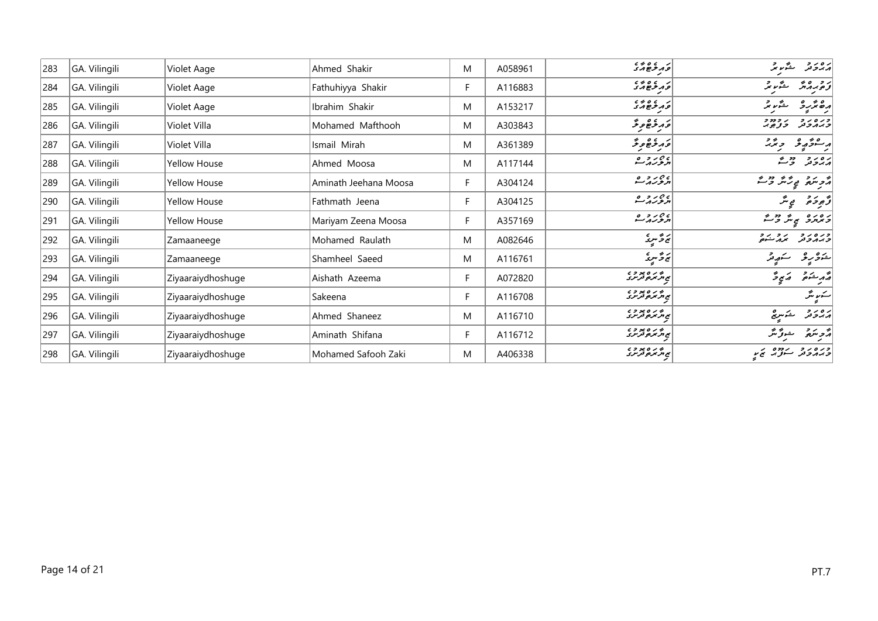| 283 | GA. Vilingili | Violet Aage         | Ahmed Shakir          | M  | A058961 | $\begin{array}{c} 1 & 0 & 0 \\ 0 & 0 & 0 \\ 0 & 0 & 0 \end{array}$ | پر ۱۵ ر و                                          |
|-----|---------------|---------------------|-----------------------|----|---------|--------------------------------------------------------------------|----------------------------------------------------|
| 284 | GA. Vilingili | Violet Aage         | Fathuhiyya Shakir     | F  | A116883 | $\begin{array}{c} 1 & 0 & 0 \\ 0 & 0 & 0 \\ 0 & 0 & 0 \end{array}$ | ر د په هغه<br>نومورمر<br>شەر بەر                   |
| 285 | GA. Vilingili | Violet Aage         | Ibrahim Shakir        | M  | A153217 | 6906<br>ومرقرح مرى                                                 | رە ئۈرۈ<br>شەرىد                                   |
| 286 | GA. Vilingili | Violet Villa        | Mohamed Mafthooh      | M  | A303843 | ر د د ۱۶ و گ                                                       | و ر ه ر و<br>تر پر ژ تر<br>,,,,<br>- حر تو بر      |
| 287 | GA. Vilingili | Violet Villa        | Ismail Mirah          | M  | A361389 | ر د و ه ه و <del>گ</del> ر                                         | پر ے بڑ پر بحر<br>وبزبر                            |
| 288 | GA. Vilingili | <b>Yellow House</b> | Ahmed Moosa           | M  | A117144 | ، <i>می ب</i> ر حر ه<br>مرمو <i>ت</i> ر پر                         | پر 9 پر و<br>  پر پر <del>و</del> تر<br>ست مشتر می |
| 289 | GA. Vilingili | Yellow House        | Aminath Jeehana Moosa | F. | A304124 | ، <i>ہی ر</i> ج ہے<br>مرمز پر پ                                    | أأدوسه ويدارج وحسة                                 |
| 290 | GA. Vilingili | <b>Yellow House</b> | Fathmath Jeena        | F  | A304125 | ، <i>ہی ر</i> ج ہے<br>مرمز پر پ                                    | وَجوحَاصِ مِی سَّ                                  |
| 291 | GA. Vilingili | Yellow House        | Mariyam Zeena Moosa   | F. | A357169 | ، <i>ہی ر</i> ج ے<br>مرمز پر پ                                     | د وړه نم پر د ح                                    |
| 292 | GA. Vilingili | Zamaaneege          | Mohamed Raulath       | M  | A082646 | ئے جَّ سر ئی                                                       | כנים ניכין ביריק<br>הממידי המי                     |
| 293 | GA. Vilingili | Zamaaneege          | Shamheel Saeed        | M  | A116761 | ئے جَّ سرچ                                                         | ے وگر و کے میرانس                                  |
| 294 | GA. Vilingili | Ziyaaraiydhoshuge   | Aishath Azeema        | F  | A072820 | 0,0000<br>ہے پر بریز قرمزی                                         | أقدم شكافه الأمجاف                                 |
| 295 | GA. Vilingili | Ziyaaraiydhoshuge   | Sakeena               | F  | A116708 | پر بر ه پر و بر<br>بح تر برج تر سر پر                              | سەر بىگە                                           |
| 296 | GA. Vilingili | Ziyaaraiydhoshuge   | Ahmed Shaneez         | M  | A116710 | پر بر ه پر و بر<br>بح تر برج تر سر پر                              | پر و تر<br>شەكىرى بىر                              |
| 297 | GA. Vilingili | Ziyaaraiydhoshuge   | Aminath Shifana       | F. | A116712 | پر بر ه پر و بر<br>بح تر برج تر سر پر                              | پر د سرچ<br>شەرگەنگر                               |
| 298 | GA. Vilingili | Ziyaaraiydhoshuge   | Mohamed Safooh Zaki   | M  | A406338 | پر بر ه پر و بر<br>بح تر برج تر سر پر                              | وره رو وروه مرد م                                  |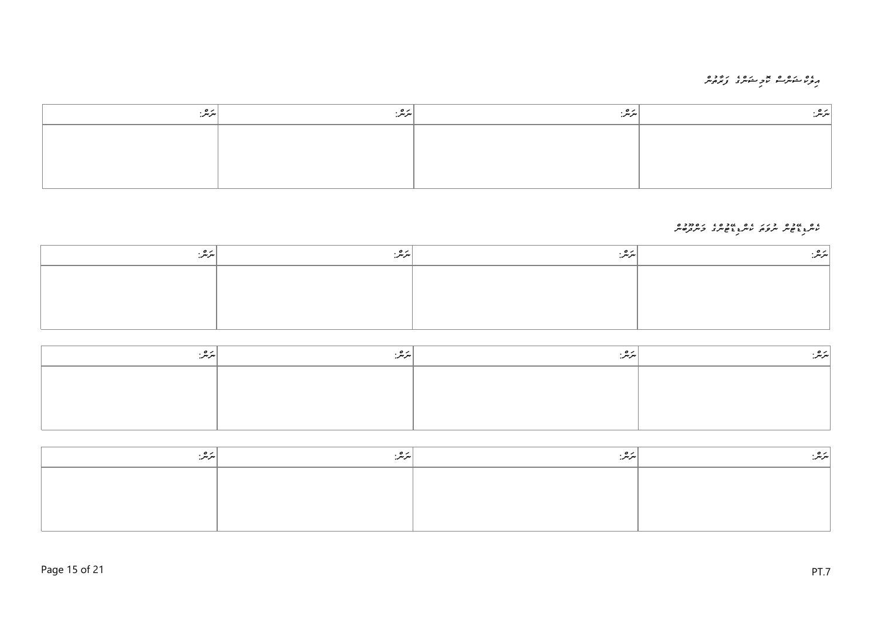## *w7qAn8m?sCw7mRo>u;wEw7mRw;sBo<*

| ' مرمر | 'يئرىثر: |
|--------|----------|
|        |          |
|        |          |
|        |          |

## *w7q9r@w7m>sCw7qHtFoFw7s;mAm=q7w7qHtFoFw7s;*

| ىر تە | $\mathcal{O} \times$<br>$\sim$ | $\sim$<br>. . | لترنثر |
|-------|--------------------------------|---------------|--------|
|       |                                |               |        |
|       |                                |               |        |
|       |                                |               |        |

| انترنثر: | $^{\circ}$ | يبرهر | $^{\circ}$<br>سرسر |
|----------|------------|-------|--------------------|
|          |            |       |                    |
|          |            |       |                    |
|          |            |       |                    |

| ىرتىر: | 。<br>سر سر | .,<br>مرسر |
|--------|------------|------------|
|        |            |            |
|        |            |            |
|        |            |            |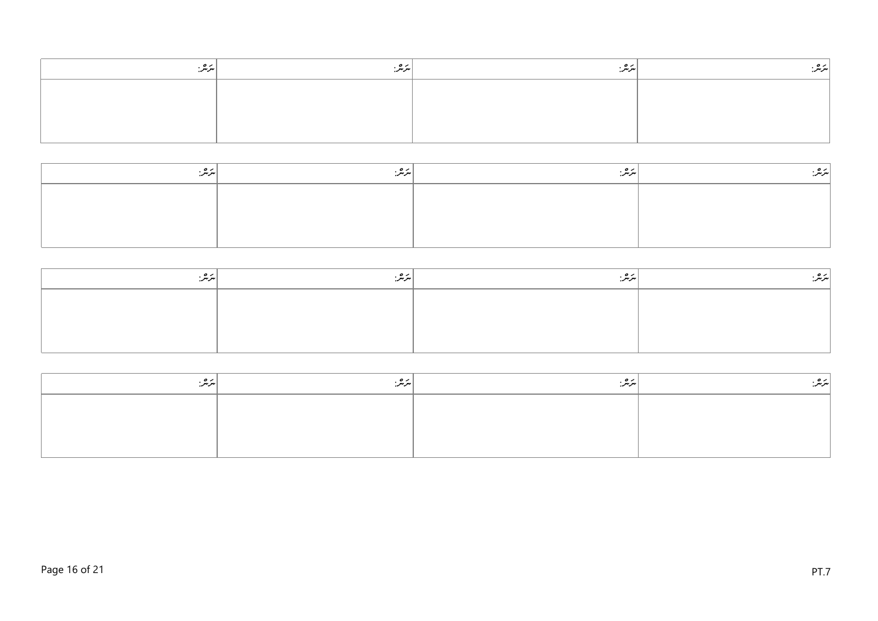| يره. | ο. | ا ير ه |  |
|------|----|--------|--|
|      |    |        |  |
|      |    |        |  |
|      |    |        |  |

| <sup>.</sup> سرسر. |  |
|--------------------|--|
|                    |  |
|                    |  |
|                    |  |

| ىئرىتر. | $\sim$ | ا بر هه. | لىرىش |
|---------|--------|----------|-------|
|         |        |          |       |
|         |        |          |       |
|         |        |          |       |

| 。<br>مرس. | $\overline{\phantom{a}}$<br>مر مىر | ىرىر |
|-----------|------------------------------------|------|
|           |                                    |      |
|           |                                    |      |
|           |                                    |      |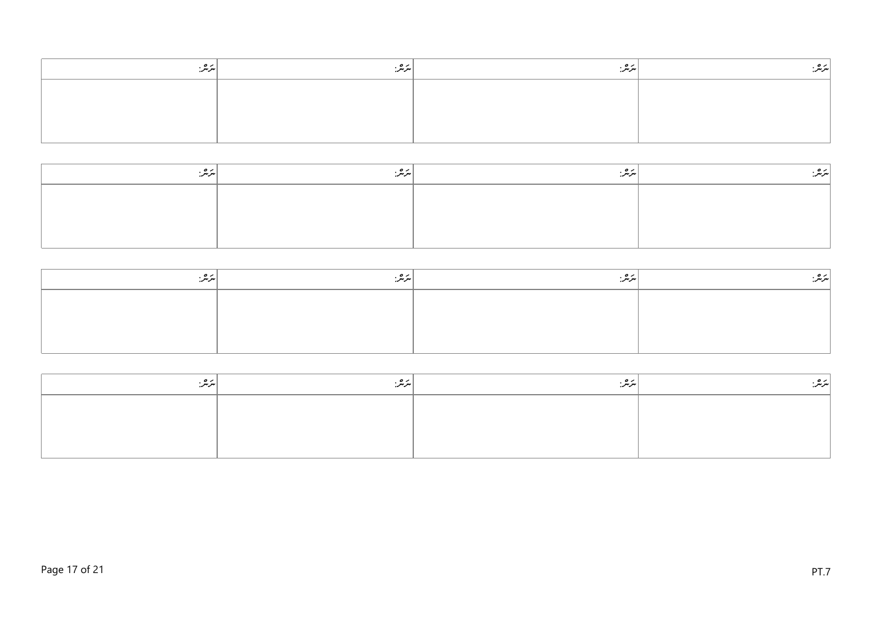| ير هو . | $\overline{\phantom{a}}$ | يرمر | اير هنه. |
|---------|--------------------------|------|----------|
|         |                          |      |          |
|         |                          |      |          |
|         |                          |      |          |

| ىر تىر: | $\circ$ $\sim$<br>" سرسر . | يترمير | o . |
|---------|----------------------------|--------|-----|
|         |                            |        |     |
|         |                            |        |     |
|         |                            |        |     |

| 'تترنثر: | ر ه |  |
|----------|-----|--|
|          |     |  |
|          |     |  |
|          |     |  |

|  | . ه |
|--|-----|
|  |     |
|  |     |
|  |     |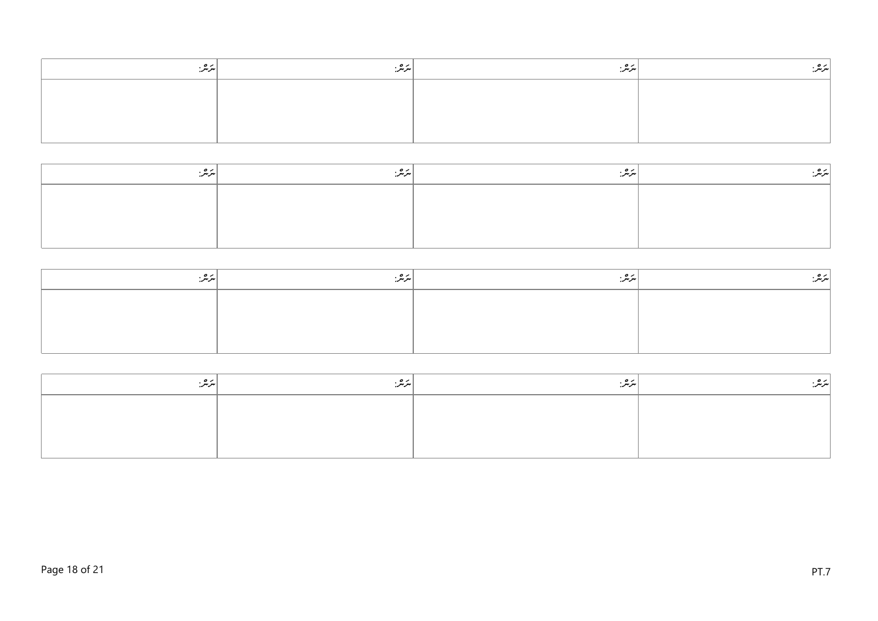| ير هو . | $\overline{\phantom{a}}$ | يرمر | اير هنه. |
|---------|--------------------------|------|----------|
|         |                          |      |          |
|         |                          |      |          |
|         |                          |      |          |

| ىر تىر: | $\circ$ $\sim$<br>" سرسر . | يترمير | o . |
|---------|----------------------------|--------|-----|
|         |                            |        |     |
|         |                            |        |     |
|         |                            |        |     |

| 'تترنثر: | ر ه |  |
|----------|-----|--|
|          |     |  |
|          |     |  |
|          |     |  |

|  | . ه |
|--|-----|
|  |     |
|  |     |
|  |     |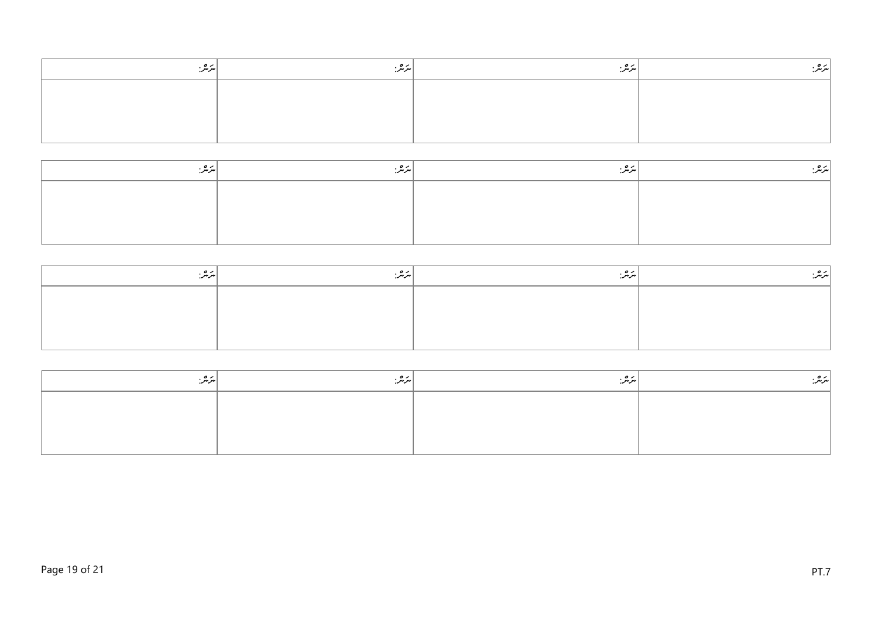| $\cdot$ | 。 | $\frac{\circ}{\cdot}$ | $\sim$<br>سرسر |
|---------|---|-----------------------|----------------|
|         |   |                       |                |
|         |   |                       |                |
|         |   |                       |                |

| يريثن | ' سرسر . |  |
|-------|----------|--|
|       |          |  |
|       |          |  |
|       |          |  |

| بر ه | . ه | $\overline{\phantom{0}}$<br>سرسر |  |
|------|-----|----------------------------------|--|
|      |     |                                  |  |
|      |     |                                  |  |
|      |     |                                  |  |

| 。<br>. س | ىرىىر |  |
|----------|-------|--|
|          |       |  |
|          |       |  |
|          |       |  |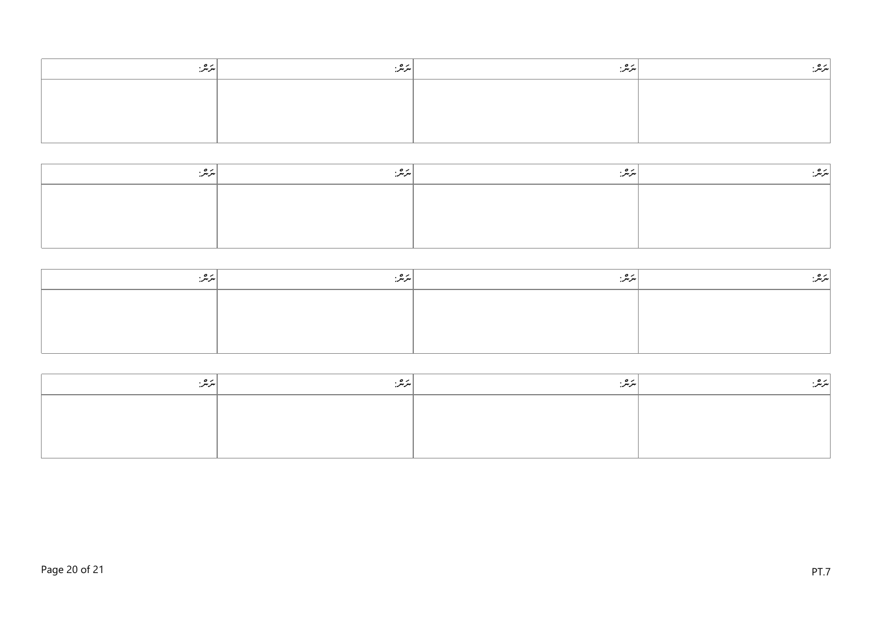| ير هو . | $\overline{\phantom{a}}$ | يرمر | اير هنه. |
|---------|--------------------------|------|----------|
|         |                          |      |          |
|         |                          |      |          |
|         |                          |      |          |

| ئىرتىر: | $\sim$<br>ا سرسر . | يئرمثر | o . |
|---------|--------------------|--------|-----|
|         |                    |        |     |
|         |                    |        |     |
|         |                    |        |     |

| 'تترنثر: | 。<br>,,,, |  |
|----------|-----------|--|
|          |           |  |
|          |           |  |
|          |           |  |

|  | . ه |
|--|-----|
|  |     |
|  |     |
|  |     |